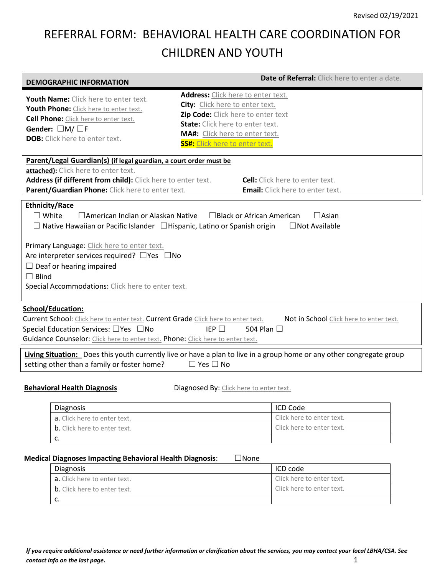# REFERRAL FORM: BEHAVIORAL HEALTH CARE COORDINATION FOR CHILDREN AND YOUTH

| <b>DEMOGRAPHIC INFORMATION</b>                                                                                                                                                                                                                                                                                      | Date of Referral: Click here to enter a date.                                                                                                                                                                                     |  |
|---------------------------------------------------------------------------------------------------------------------------------------------------------------------------------------------------------------------------------------------------------------------------------------------------------------------|-----------------------------------------------------------------------------------------------------------------------------------------------------------------------------------------------------------------------------------|--|
| Youth Name: Click here to enter text.<br>Youth Phone: Click here to enter text.<br><b>Cell Phone:</b> Click here to enter text.<br>Gender: □M/□F<br><b>DOB:</b> Click here to enter text.                                                                                                                           | Address: Click here to enter text.<br>City: Click here to enter text.<br>Zip Code: Click here to enter text<br><b>State:</b> Click here to enter text.<br>MA#: Click here to enter text.<br><b>SS#:</b> Click here to enter text. |  |
| Parent/Legal Guardian(s) (if legal guardian, a court order must be<br>attached): Click here to enter text.<br>Address (if different from child): Click here to enter text.<br><b>Cell:</b> Click here to enter text.<br>Parent/Guardian Phone: Click here to enter text.<br><b>Email:</b> Click here to enter text. |                                                                                                                                                                                                                                   |  |
| <b>Ethnicity/Race</b><br>$\square$ White<br>□ American Indian or Alaskan Native<br>$\Box$ Asian<br>□ Black or African American<br>$\Box$ Native Hawaiian or Pacific Islander $\Box$ Hispanic, Latino or Spanish origin<br>□ Not Available                                                                           |                                                                                                                                                                                                                                   |  |
| Primary Language: Click here to enter text.<br>Are interpreter services required? $\Box$ Yes $\Box$ No<br>$\Box$ Deaf or hearing impaired<br>$\Box$ Blind<br>Special Accommodations: Click here to enter text.                                                                                                      |                                                                                                                                                                                                                                   |  |
| <b>School/Education:</b><br>Current School: Click here to enter text. Current Grade Click here to enter text.<br>Not in School Click here to enter text.<br>IEP $\square$<br>Special Education Services: □ Yes □ No<br>504 Plan □<br>Guidance Counselor: Click here to enter text. Phone: Click here to enter text. |                                                                                                                                                                                                                                   |  |
| Living Situation: Does this youth currently live or have a plan to live in a group home or any other congregate group<br>setting other than a family or foster home?<br>$\Box$ Yes $\Box$ No                                                                                                                        |                                                                                                                                                                                                                                   |  |
| <b>Behavioral Health Diagnosis</b>                                                                                                                                                                                                                                                                                  | Diagnosed By: Click here to enter text.                                                                                                                                                                                           |  |

|    | <b>Diagnosis</b>                    | ICD Code                  |
|----|-------------------------------------|---------------------------|
|    | <b>a.</b> Click here to enter text. | Click here to enter text. |
|    | <b>b.</b> Click here to enter text. | Click here to enter text. |
| J. |                                     |                           |

#### **Medical Diagnoses Impacting Behavioral Health Diagnosis**: ☐None

| Diagnosis                           | ICD code                  |
|-------------------------------------|---------------------------|
| <b>a.</b> Click here to enter text. | Click here to enter text. |
| <b>b.</b> Click here to enter text. | Click here to enter text. |
|                                     |                           |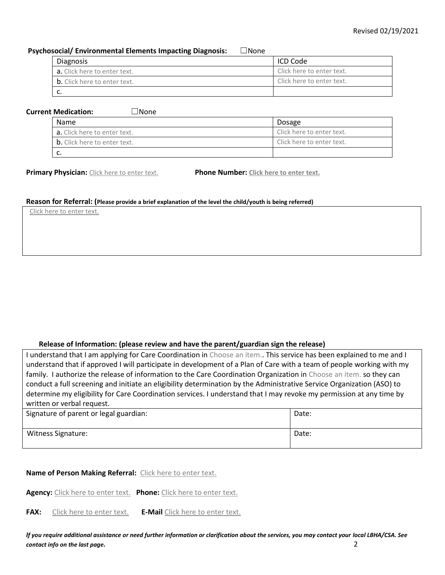### **Psychosocial/ Environmental Elements Impacting Diagnosis:** ☐None

| Diagnosis                           | ICD Code                  |
|-------------------------------------|---------------------------|
| <b>a.</b> Click here to enter text. | Click here to enter text. |
| <b>b.</b> Click here to enter text. | Click here to enter text. |
|                                     |                           |

### **Current Medication:** ☐None

| Name                                | Dosage                    |
|-------------------------------------|---------------------------|
| a. Click here to enter text.        | Click here to enter text. |
| <b>b.</b> Click here to enter text. | Click here to enter text. |
| ັບ.                                 |                           |

**Primary Physician:** Click here to enter text. **Phone Number: Click here to enter text.**

#### **Reason for Referral: (Please provide a brief explanation of the level the child/youth is being referred)**

Click here to enter text.

## **Release of Information: (please review and have the parent/guardian sign the release)**

I understand that I am applying for Care Coordination in Choose an item.. This service has been explained to me and I understand that if approved I will participate in development of a Plan of Care with a team of people working with my family. I authorize the release of information to the Care Coordination Organization in Choose an item. so they can conduct a full screening and initiate an eligibility determination by the Administrative Service Organization (ASO) to determine my eligibility for Care Coordination services. I understand that I may revoke my permission at any time by written or verbal request.

| Signature of parent or legal guardian: | Date: |
|----------------------------------------|-------|
| Witness Signature:                     | Date: |

## **Name of Person Making Referral:** Click here to enter text.

**Agency:** Click here to enter text. **Phone:** Click here to enter text.

FAX: Click here to enter text. E-Mail Click here to enter text.

*If you require additional assistance or need further information or clarification about the services, you may contact your local LBHA/CSA. See contact info on the last page.* 2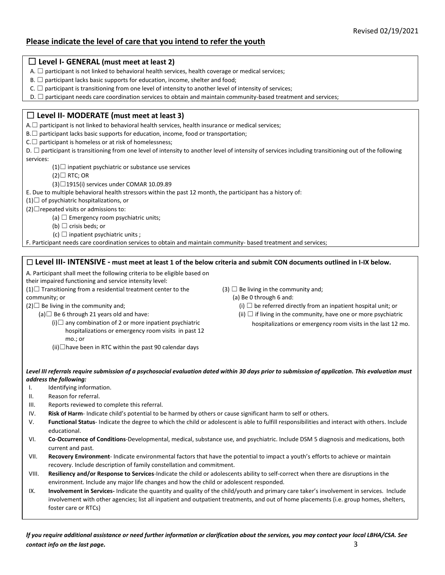## **Please indicate the level of care that you intend to refer the youth**

| $\Box$ Level I- GENERAL (must meet at least 2) |  |
|------------------------------------------------|--|
|------------------------------------------------|--|

- A.  $\Box$  participant is not linked to behavioral health services, health coverage or medical services;
- $B.$   $\Box$  participant lacks basic supports for education, income, shelter and food;
- C.  $\Box$  participant is transitioning from one level of intensity to another level of intensity of services;
- D. □ participant needs care coordination services to obtain and maintain community-based treatment and services;

## ☐ **Level II- MODERATE (must meet at least 3)**

A.□ participant is not linked to behavioral health services, health insurance or medical services;

 $B.\Box$  participant lacks basic supports for education, income, food or transportation;

 $C.\Box$  participant is homeless or at risk of homelessness;

D. □ participant is transitioning from one level of intensity to another level of intensity of services including transitioning out of the following services:

- $(1)$  $\Box$  inpatient psychiatric or substance use services
- $(2)$  $\Box$  RTC; OR
- (3)☐1915(i) services under COMAR 10.09.89
- E. Due to multiple behavioral health stressors within the past 12 month, the participant has a history of:

 $(1)$  $\Box$  of psychiatric hospitalizations, or

 $(2) \Box$  repeated visits or admissions to:

- (a)  $\Box$  Emergency room psychiatric units;
- (b)  $\Box$  crisis beds; or
- (c)  $\Box$  inpatient psychiatric units ;

F. Participant needs care coordination services to obtain and maintain community- based treatment and services;

## ☐ **Level III- INTENSIVE - must meet at least 1 of the below criteria and submit CON documents outlined in I-IX below.**

A. Participant shall meet the following criteria to be eligible based on

their impaired functioning and service intensity level:

 $(1)$  $\Box$  Transitioning from a residential treatment center to the community; or

(3)  $\Box$  Be living in the community and;

(a) Be 0 through 6 and:

- (i)  $\Box$  be referred directly from an inpatient hospital unit; or
	- (ii)  $\Box$  if living in the community, have one or more psychiatric hospitalizations or emergency room visits in the last 12 mo.
- $(2)$  $\Box$  Be living in the community and;
	- (a) $\Box$  Be 6 through 21 years old and have:
		- (i) $\Box$  any combination of 2 or more inpatient psychiatric hospitalizations or emergency room visits in past 12 mo.; or
		- $(ii)$  have been in RTC within the past 90 calendar days
- *Level III referrals require submission of a psychosocial evaluation dated within 30 days prior to submission of application. This evaluation must address the following:*
- I. Identifying information.
- II. Reason for referral.
- III. Reports reviewed to complete this referral.
- IV. **Risk of Harm** Indicate child's potential to be harmed by others or cause significant harm to self or others.
- V. **Functional Status** Indicate the degree to which the child or adolescent is able to fulfill responsibilities and interact with others. Include educational.
- VI. **Co**-**Occurrence of Conditions**-Developmental, medical, substance use, and psychiatric. Include DSM 5 diagnosis and medications, both current and past.
- VII. **Recovery Environment** Indicate environmental factors that have the potential to impact a youth's efforts to achieve or maintain recovery. Include description of family constellation and commitment.
- VIII. **Resiliency and/or Response to Services**-Indicate the child or adolescents ability to self-correct when there are disruptions in the environment. Include any major life changes and how the child or adolescent responded.
- IX. **Involvement in Services-** Indicate the quantity and quality of the child/youth and primary care taker's involvement in services. Include involvement with other agencies; list all inpatient and outpatient treatments, and out of home placements (i.e. group homes, shelters, foster care or RTCs)

*If you require additional assistance or need further information or clarification about the services, you may contact your local LBHA/CSA. See contact info on the last page.* 3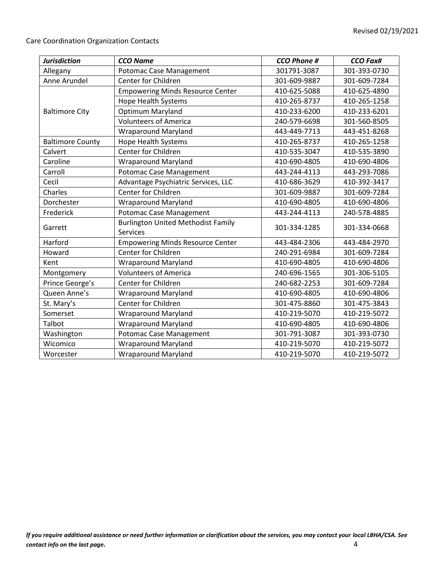Care Coordination Organization Contacts

| <b>Jurisdiction</b>     | <b>CCO Name</b>                           | <b>CCO Phone #</b> | <b>CCO Fax#</b> |
|-------------------------|-------------------------------------------|--------------------|-----------------|
| Allegany                | Potomac Case Management                   | 301791-3087        | 301-393-0730    |
| Anne Arundel            | Center for Children                       | 301-609-9887       | 301-609-7284    |
|                         | <b>Empowering Minds Resource Center</b>   | 410-625-5088       | 410-625-4890    |
|                         | Hope Health Systems                       | 410-265-8737       | 410-265-1258    |
| <b>Baltimore City</b>   | Optimum Maryland                          | 410-233-6200       | 410-233-6201    |
|                         | <b>Volunteers of America</b>              | 240-579-6698       | 301-560-8505    |
|                         | <b>Wraparound Maryland</b>                | 443-449-7713       | 443-451-8268    |
| <b>Baltimore County</b> | <b>Hope Health Systems</b>                | 410-265-8737       | 410-265-1258    |
| Calvert                 | <b>Center for Children</b>                | 410-535-3047       | 410-535-3890    |
| Caroline                | <b>Wraparound Maryland</b>                | 410-690-4805       | 410-690-4806    |
| Carroll                 | Potomac Case Management                   | 443-244-4113       | 443-293-7086    |
| Cecil                   | Advantage Psychiatric Services, LLC       | 410-686-3629       | 410-392-3417    |
| Charles                 | Center for Children                       | 301-609-9887       | 301-609-7284    |
| Dorchester              | <b>Wraparound Maryland</b>                | 410-690-4805       | 410-690-4806    |
| Frederick               | Potomac Case Management                   | 443-244-4113       | 240-578-4885    |
| Garrett                 | <b>Burlington United Methodist Family</b> | 301-334-1285       | 301-334-0668    |
|                         | Services                                  |                    |                 |
| Harford                 | <b>Empowering Minds Resource Center</b>   | 443-484-2306       | 443-484-2970    |
| Howard                  | Center for Children                       | 240-291-6984       | 301-609-7284    |
| Kent                    | <b>Wraparound Maryland</b>                | 410-690-4805       | 410-690-4806    |
| Montgomery              | <b>Volunteers of America</b>              | 240-696-1565       | 301-306-5105    |
| Prince George's         | Center for Children                       | 240-682-2253       | 301-609-7284    |
| Queen Anne's            | <b>Wraparound Maryland</b>                | 410-690-4805       | 410-690-4806    |
| St. Mary's              | <b>Center for Children</b>                | 301-475-8860       | 301-475-3843    |
| Somerset                | <b>Wraparound Maryland</b>                | 410-219-5070       | 410-219-5072    |
| Talbot                  | <b>Wraparound Maryland</b>                | 410-690-4805       | 410-690-4806    |
| Washington              | <b>Potomac Case Management</b>            | 301-791-3087       | 301-393-0730    |
| Wicomico                | <b>Wraparound Maryland</b>                | 410-219-5070       | 410-219-5072    |
| Worcester               | <b>Wraparound Maryland</b>                | 410-219-5070       | 410-219-5072    |